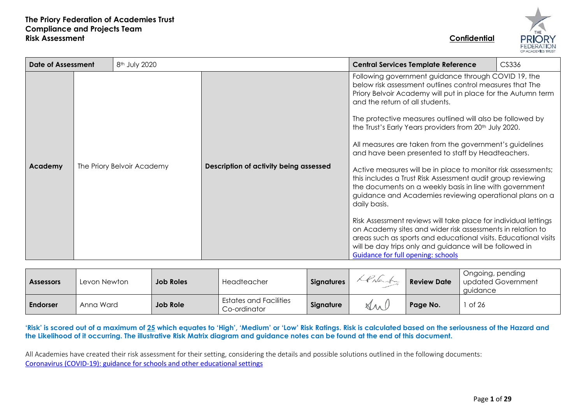

| <b>Date of Assessment</b> |                            | 8 <sup>th</sup> July 2020 |                                        | CS336<br><b>Central Services Template Reference</b>                                                                                                                                                                                                                                                                                                                                                                                                                                                                                                                                                                                                                                                                                                                                                                                                                                                                                                                                                                                         |  |  |  |  |  |  |
|---------------------------|----------------------------|---------------------------|----------------------------------------|---------------------------------------------------------------------------------------------------------------------------------------------------------------------------------------------------------------------------------------------------------------------------------------------------------------------------------------------------------------------------------------------------------------------------------------------------------------------------------------------------------------------------------------------------------------------------------------------------------------------------------------------------------------------------------------------------------------------------------------------------------------------------------------------------------------------------------------------------------------------------------------------------------------------------------------------------------------------------------------------------------------------------------------------|--|--|--|--|--|--|
| Academy                   | The Priory Belvoir Academy |                           | Description of activity being assessed | Following government guidance through COVID 19, the<br>below risk assessment outlines control measures that The<br>Priory Belvoir Academy will put in place for the Autumn term<br>and the return of all students.<br>The protective measures outlined will also be followed by<br>the Trust's Early Years providers from 20th July 2020.<br>All measures are taken from the government's guidelines<br>and have been presented to staff by Headteachers.<br>Active measures will be in place to monitor risk assessments;<br>this includes a Trust Risk Assessment audit group reviewing<br>the documents on a weekly basis in line with government<br>guidance and Academies reviewing operational plans on a<br>daily basis.<br>Risk Assessment reviews will take place for individual lettings<br>on Academy sites and wider risk assessments in relation to<br>areas such as sports and educational visits. Educational visits<br>will be day trips only and guidance will be followed in<br><b>Guidance for full opening: schools</b> |  |  |  |  |  |  |

| <b>Assessors</b> | Levon Newton | <b>Job Roles</b> | Headteacher                                   | <b>Signatures</b> | LPNerfu | <b>Review Date</b> | Ongoing, pending<br>updated Government<br>auidance |
|------------------|--------------|------------------|-----------------------------------------------|-------------------|---------|--------------------|----------------------------------------------------|
| <b>Endorser</b>  | Anna Ward    | <b>Job Role</b>  | <b>Estates and Facilities</b><br>Co-ordinator | Signature         | Ant     | Page No.           | of 26                                              |

'Risk' is scored out of a maximum of 25 which equates to 'High', 'Medium' or 'Low' Risk Ratings. Risk is calculated based on the seriousness of the Hazard and **the Likelihood of it occurring. The illustrative Risk Matrix diagram and guidance notes can be found at the end of this document.**

All Academies have created their risk assessment for their setting, considering the details and possible solutions outlined in the following documents: [Coronavirus \(COVID-19\): guidance for schools and other educational settings](https://www.gov.uk/government/collections/coronavirus-covid-19-guidance-for-schools-and-other-educational-settings)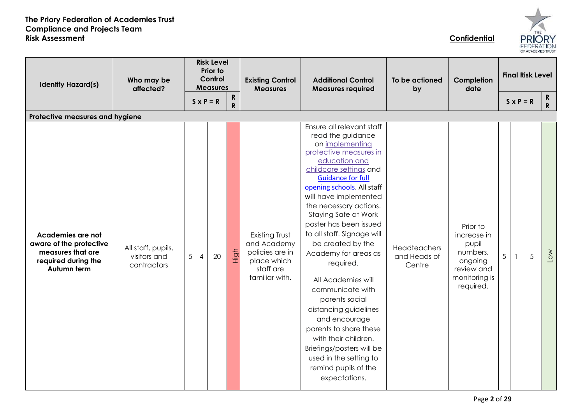

| <b>Identify Hazard(s)</b>                                                                               | Who may be<br>affected?                           |                 | <b>Risk Level</b><br>Prior to<br>Control<br><b>Measures</b><br>${\bf R}$ |             | $S \times P = R$ |                                                                                                | <b>Existing Control</b><br><b>Measures</b>                                                                                                                                                                                                                                                                                                                                                                                                                                                                                                                                                                                                            | <b>Additional Control</b><br><b>Measures required</b> | To be actioned<br>by                                                                                | Completion<br>date |                  | <b>Final Risk Level</b><br>R. |              |
|---------------------------------------------------------------------------------------------------------|---------------------------------------------------|-----------------|--------------------------------------------------------------------------|-------------|------------------|------------------------------------------------------------------------------------------------|-------------------------------------------------------------------------------------------------------------------------------------------------------------------------------------------------------------------------------------------------------------------------------------------------------------------------------------------------------------------------------------------------------------------------------------------------------------------------------------------------------------------------------------------------------------------------------------------------------------------------------------------------------|-------------------------------------------------------|-----------------------------------------------------------------------------------------------------|--------------------|------------------|-------------------------------|--------------|
|                                                                                                         |                                                   |                 |                                                                          | $\mathbf R$ |                  |                                                                                                |                                                                                                                                                                                                                                                                                                                                                                                                                                                                                                                                                                                                                                                       |                                                       |                                                                                                     |                    | $S \times P = R$ |                               | $\mathbf{R}$ |
| Protective measures and hygiene                                                                         |                                                   |                 |                                                                          |             |                  |                                                                                                |                                                                                                                                                                                                                                                                                                                                                                                                                                                                                                                                                                                                                                                       |                                                       |                                                                                                     |                    |                  |                               |              |
| Academies are not<br>aware of the protective<br>measures that are<br>required during the<br>Autumn term | All staff, pupils,<br>visitors and<br>contractors | $5\phantom{.0}$ | 20<br>4                                                                  |             | High             | Existing Trust<br>and Academy<br>policies are in<br>place which<br>staff are<br>familiar with. | Ensure all relevant staff<br>read the guidance<br>on implementing<br>protective measures in<br>education and<br>childcare settings and<br><b>Guidance for full</b><br>opening schools. All staff<br>will have implemented<br>the necessary actions.<br>Staying Safe at Work<br>poster has been issued<br>to all staff. Signage will<br>be created by the<br>Academy for areas as<br>required.<br>All Academies will<br>communicate with<br>parents social<br>distancing guidelines<br>and encourage<br>parents to share these<br>with their children.<br>Briefings/posters will be<br>used in the setting to<br>remind pupils of the<br>expectations. | Headteachers<br>and Heads of<br>Centre                | Prior to<br>increase in<br>pupil<br>numbers,<br>ongoing<br>review and<br>monitoring is<br>required. | 5                  |                  | 5                             | $\sim$       |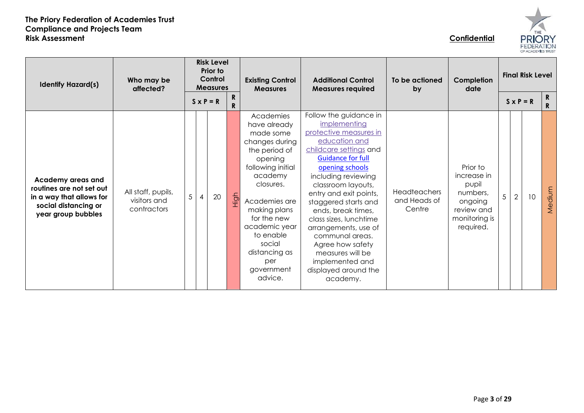

| <b>Identify Hazard(s)</b>                                                                                               | Who may be<br>affected?                           |   | <b>Risk Level</b><br>Prior to<br>Control<br><b>Measures</b><br>R.<br>$S \times P = R$<br>R. |      | <b>Existing Control</b><br><b>Measures</b>                                                                                                                                                                                                                                 | <b>Additional Control</b><br><b>Measures required</b>                                                                                                                                                                                                                                                                                                                                                                                               | To be actioned<br>by                          | Completion<br>date                                                                                  | <b>Final Risk Level</b><br>$S \times P = R$ |                |    | $\mathbf R$<br>$\mathbf{R}$ |
|-------------------------------------------------------------------------------------------------------------------------|---------------------------------------------------|---|---------------------------------------------------------------------------------------------|------|----------------------------------------------------------------------------------------------------------------------------------------------------------------------------------------------------------------------------------------------------------------------------|-----------------------------------------------------------------------------------------------------------------------------------------------------------------------------------------------------------------------------------------------------------------------------------------------------------------------------------------------------------------------------------------------------------------------------------------------------|-----------------------------------------------|-----------------------------------------------------------------------------------------------------|---------------------------------------------|----------------|----|-----------------------------|
| Academy areas and<br>routines are not set out<br>in a way that allows for<br>social distancing or<br>year group bubbles | All staff, pupils,<br>visitors and<br>contractors | 5 | 20                                                                                          | High | Academies<br>have already<br>made some<br>changes during<br>the period of<br>opening<br>following initial<br>academy<br>closures.<br>Academies are<br>making plans<br>for the new<br>academic year<br>to enable<br>social<br>distancing as<br>per<br>government<br>advice. | Follow the guidance in<br>implementing<br>protective measures in<br>education and<br>childcare settings and<br><b>Guidance for full</b><br>opening schools<br>including reviewing<br>classroom layouts,<br>entry and exit points,<br>staggered starts and<br>ends, break times,<br>class sizes, lunchtime<br>arrangements, use of<br>communal areas.<br>Agree how safety<br>measures will be<br>implemented and<br>displayed around the<br>academy. | <b>Headteachers</b><br>and Heads of<br>Centre | Prior to<br>increase in<br>pupil<br>numbers,<br>ongoing<br>review and<br>monitoring is<br>required. | 5                                           | $\overline{2}$ | 10 | Medium                      |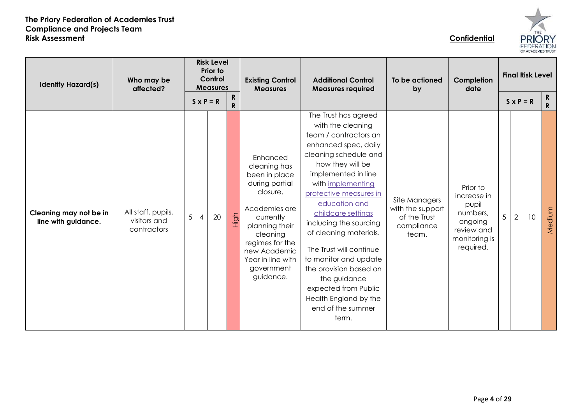| s<br><b>FEDERATIO</b><br>F ACADEMIES TRUST |  |
|--------------------------------------------|--|

| Who may be<br><b>Identify Hazard(s)</b><br>affected? |                                                   |   | <b>Risk Level</b><br>Prior to<br>Control<br><b>Measures</b> |        | <b>Existing Control</b><br><b>Measures</b>                                                                                                                                                                             | <b>Additional Control</b><br><b>Measures required</b>                                                                                                                                                                                                                                                                                                                                                                                                                                 | To be actioned<br>by                                                     | Completion<br>date                                                                                  |                | <b>Final Risk Level</b> |    |                              |  |  |
|------------------------------------------------------|---------------------------------------------------|---|-------------------------------------------------------------|--------|------------------------------------------------------------------------------------------------------------------------------------------------------------------------------------------------------------------------|---------------------------------------------------------------------------------------------------------------------------------------------------------------------------------------------------------------------------------------------------------------------------------------------------------------------------------------------------------------------------------------------------------------------------------------------------------------------------------------|--------------------------------------------------------------------------|-----------------------------------------------------------------------------------------------------|----------------|-------------------------|----|------------------------------|--|--|
|                                                      |                                                   |   | $S \times P = R$                                            | R<br>R |                                                                                                                                                                                                                        |                                                                                                                                                                                                                                                                                                                                                                                                                                                                                       |                                                                          |                                                                                                     |                | $S \times P = R$        |    | $\mathbf{R}$<br>$\mathbf{R}$ |  |  |
| Cleaning may not be in<br>line with guidance.        | All staff, pupils,<br>visitors and<br>contractors | 5 | 20                                                          | High   | Enhanced<br>cleaning has<br>been in place<br>during partial<br>closure.<br>Academies are<br>currently<br>planning their<br>cleaning<br>regimes for the<br>new Academic<br>Year in line with<br>government<br>guidance. | The Trust has agreed<br>with the cleaning<br>team / contractors an<br>enhanced spec, daily<br>cleaning schedule and<br>how they will be<br>implemented in line<br>with implementing<br>protective measures in<br>education and<br>childcare settings<br>including the sourcing<br>of cleaning materials.<br>The Trust will continue<br>to monitor and update<br>the provision based on<br>the guidance<br>expected from Public<br>Health England by the<br>end of the summer<br>term. | Site Managers<br>with the support<br>of the Trust<br>compliance<br>team. | Prior to<br>increase in<br>pupil<br>numbers,<br>ongoing<br>review and<br>monitoring is<br>required. | $\overline{5}$ | $\overline{2}$          | 10 | Medium                       |  |  |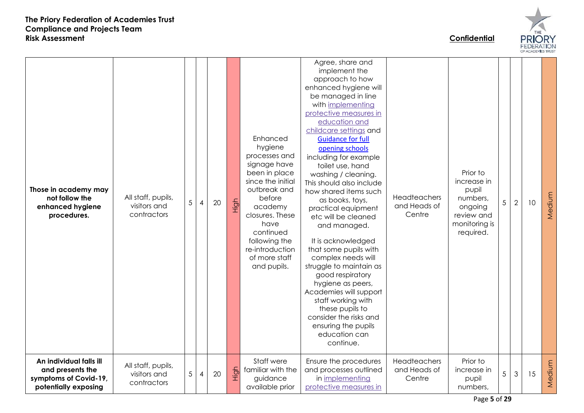

Agree, share and implement the approach to how enhanced hygiene will be managed in line with [implementing](https://www.gov.uk/government/publications/coronavirus-covid-19-implementing-protective-measures-in-education-and-childcare-settings)  [protective measures in](https://www.gov.uk/government/publications/coronavirus-covid-19-implementing-protective-measures-in-education-and-childcare-settings)  [education and](https://www.gov.uk/government/publications/coronavirus-covid-19-implementing-protective-measures-in-education-and-childcare-settings)  [childcare settings](https://www.gov.uk/government/publications/coronavirus-covid-19-implementing-protective-measures-in-education-and-childcare-settings) and Enhanced [Guidance for full](https://www.gov.uk/government/publications/actions-for-schools-during-the-coronavirus-outbreak/guidance-for-full-opening-schools)  hygiene [opening schools](https://www.gov.uk/government/publications/actions-for-schools-during-the-coronavirus-outbreak/guidance-for-full-opening-schools) processes and including for example signage have toilet use, hand been in place Prior to washing / cleaning. since the initial increase in This should also include **Those in academy may**  outbreak and pupil how shared items such Medium All staff, pupils, Headteachers **not follow the**  before numbers, High as books, toys, 5 4 20  $5 \mid 2 \mid 10$ **enhanced hygiene**  visitors and and Heads of academy ongoing practical equipment contractors Centre **procedures.** closures. These review and etc will be cleaned have monitoring is and managed. continued required. It is acknowledged following the re-introduction that some pupils with of more staff complex needs will struggle to maintain as and pupils. good respiratory hygiene as peers, Academies will support staff working with these pupils to consider the risks and ensuring the pupils education can continue. **An individual falls ill**  Staff were Ensure the procedures **Headteachers** Prior to Medium MediumAll staff, pupils, High **and presents the**  familiar with the and processes outlined and Heads of increase in  $5 \mid 3 \mid 15$  $5 \mid 4 \mid 20$ visitors and **symptoms of Covid-19,**  guidance in [implementing](https://www.gov.uk/government/publications/coronavirus-covid-19-implementing-protective-measures-in-education-and-childcare-settings)  **Centre** pupil contractors **potentially exposing**  available prior [protective measures in](https://www.gov.uk/government/publications/coronavirus-covid-19-implementing-protective-measures-in-education-and-childcare-settings)  numbers,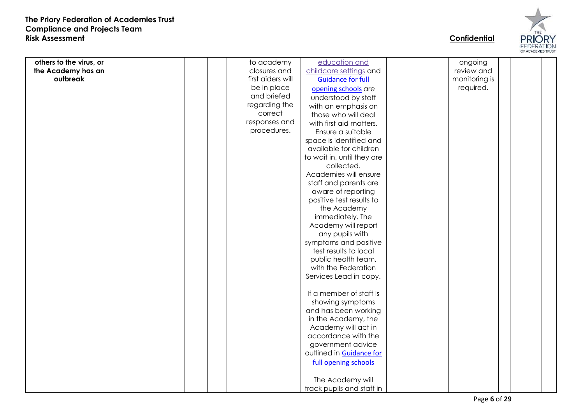

**others to the virus , or the Academy has an outbreak** to academy closures and first aiders will be in place and briefed regarding the correct responses and procedures . [education and](https://www.gov.uk/government/publications/coronavirus-covid-19-implementing-protective-measures-in-education-and-childcare-settings)  [childcare settings](https://www.gov.uk/government/publications/coronavirus-covid-19-implementing-protective-measures-in-education-and-childcare-settings) and [Guidance for full](https://www.gov.uk/government/publications/actions-for-schools-during-the-coronavirus-outbreak/guidance-for-full-opening-schools)  [opening schools](https://www.gov.uk/government/publications/actions-for-schools-during-the-coronavirus-outbreak/guidance-for-full-opening-schools) are understood by staff with a n emphasis on those who will deal with first aid matters. Ensure a suitable space is identified and available for children to wait in , until they are collected . Academies will ensure staff and parents are aware of reporting positive test results to the Academy immediately. The Academy will report any pupils with symptoms and positive test results to local public health team, with the Federation Services Lead in copy. If a member of staff is showing symptoms and has been working in the Academy, the Academy will act in accordance with the government advice outlined in [Guidance for](https://www.gov.uk/government/publications/actions-for-schools-during-the-coronavirus-outbreak/guidance-for-full-opening-schools)  [full opening schools](https://www.gov.uk/government/publications/actions-for-schools-during-the-coronavirus-outbreak/guidance-for-full-opening-schools) The Academy will track pupils and staff in ongoing review and monitoring is required.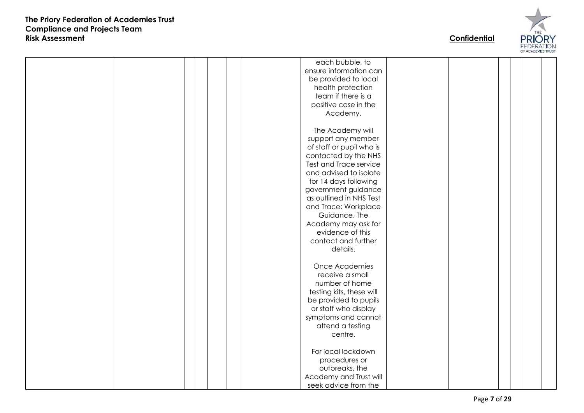

each bubble, to ensure information can be provided to local health protection team if there is a positive case in the Academy. The Academy will support any member of staff or pupil who is contacted by the NHS Test and Trace service and advised to isolate for 14 days following government guidance as outlined in NHS Test and Trace: Workplace Guidance. The Academy may ask for evidence of this contact and further details. Once Academies receive a small number of home testing kits , these will be provided to pupils or staff who display symptoms and cannot attend a testing centre. For local lockdown procedures or outbreaks , the Academy and Trust will seek advice from the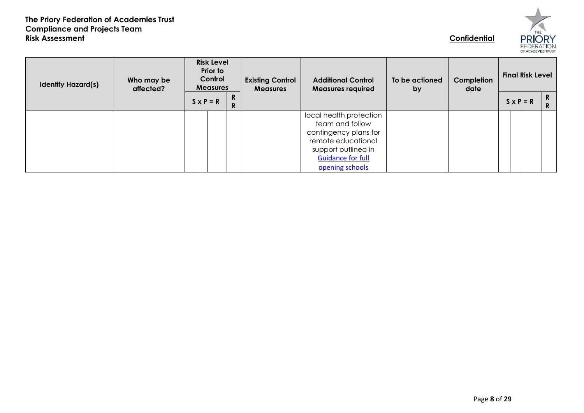

| <b>Identify Hazard(s)</b> | Who may be<br>affected? | <b>Risk Level</b><br>Prior to<br>Control<br><b>Measures</b> |                             |  | <b>Existing Control</b><br><b>Measures</b> | <b>Additional Control</b><br><b>Measures required</b>                                                                                                           | To be actioned<br>by | Completion<br>date | <b>Final Risk Level</b> |                  |        |
|---------------------------|-------------------------|-------------------------------------------------------------|-----------------------------|--|--------------------------------------------|-----------------------------------------------------------------------------------------------------------------------------------------------------------------|----------------------|--------------------|-------------------------|------------------|--------|
|                           |                         |                                                             | R<br>$S \times P = R$<br>R. |  |                                            |                                                                                                                                                                 |                      |                    |                         | $S \times P = R$ | R<br>R |
|                           |                         |                                                             |                             |  |                                            | local health protection<br>team and follow<br>contingency plans for<br>remote educational<br>support outlined in<br><b>Guidance for full</b><br>opening schools |                      |                    |                         |                  |        |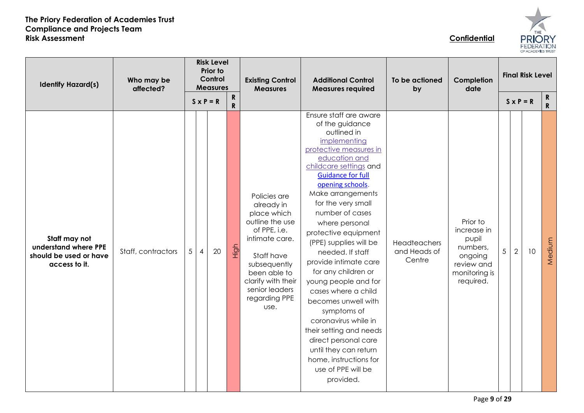| łË<br>۳<br>ι<br><b>FEDERATIO</b><br>OF ACADEMIES TRUST |  |
|--------------------------------------------------------|--|

| Who may be<br><b>Identify Hazard(s)</b><br>affected?                             |                    | <b>Risk Level</b><br>Prior to<br>Control<br><b>Measures</b> |                  |    |                           | <b>Existing Control</b><br><b>Measures</b>                                                                                                                                                                    | <b>Additional Control</b><br><b>Measures required</b>                                                                                                                                                                                                                                                                                                                                                                                                                                                                                                                                                                                                     | To be actioned<br>by                   | Completion<br>date                                                                                  | <b>Final Risk Level</b> |                  |    |                            |
|----------------------------------------------------------------------------------|--------------------|-------------------------------------------------------------|------------------|----|---------------------------|---------------------------------------------------------------------------------------------------------------------------------------------------------------------------------------------------------------|-----------------------------------------------------------------------------------------------------------------------------------------------------------------------------------------------------------------------------------------------------------------------------------------------------------------------------------------------------------------------------------------------------------------------------------------------------------------------------------------------------------------------------------------------------------------------------------------------------------------------------------------------------------|----------------------------------------|-----------------------------------------------------------------------------------------------------|-------------------------|------------------|----|----------------------------|
|                                                                                  |                    |                                                             | $S \times P = R$ |    | ${\bf R}$<br>$\mathsf{R}$ |                                                                                                                                                                                                               |                                                                                                                                                                                                                                                                                                                                                                                                                                                                                                                                                                                                                                                           |                                        |                                                                                                     |                         | $S \times P = R$ |    | $\mathbf R$<br>$\mathbf R$ |
| Staff may not<br>understand where PPE<br>should be used or have<br>access to it. | Staff, contractors | 5 <sup>5</sup>                                              | 4                | 20 | High                      | Policies are<br>already in<br>place which<br>outline the use<br>of PPE, i.e.<br>intimate care.<br>Staff have<br>subsequently<br>been able to<br>clarify with their<br>senior leaders<br>regarding PPE<br>use. | Ensure staff are aware<br>of the guidance<br>outlined in<br>implementing<br>protective measures in<br>education and<br>childcare settings and<br><b>Guidance for full</b><br>opening schools.<br>Make arrangements<br>for the very small<br>number of cases<br>where personal<br>protective equipment<br>(PPE) supplies will be<br>needed. If staff<br>provide intimate care<br>for any children or<br>young people and for<br>cases where a child<br>becomes unwell with<br>symptoms of<br>coronavirus while in<br>their setting and needs<br>direct personal care<br>until they can return<br>home, instructions for<br>use of PPE will be<br>provided. | Headteachers<br>and Heads of<br>Centre | Prior to<br>increase in<br>pupil<br>numbers,<br>ongoing<br>review and<br>monitoring is<br>required. | $5\phantom{.0}$         | $\overline{2}$   | 10 | Medium                     |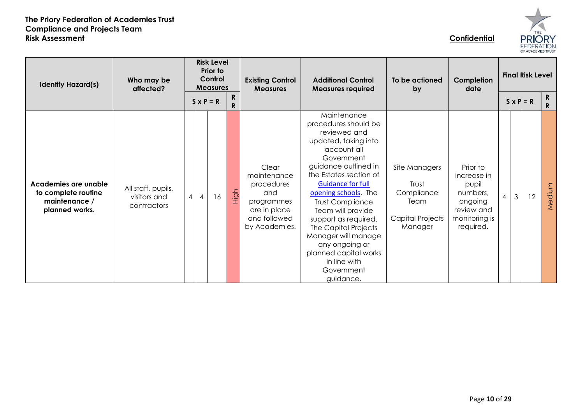| HE<br>וּב<br>Ĥ<br><b>FEDERATION</b><br>OF ACADEMIES TRUST |  |
|-----------------------------------------------------------|--|

| <b>Identify Hazard(s)</b>                                                      | Who may be<br>affected?                           |     | <b>Risk Level</b><br>Prior to<br>Control<br><b>Measures</b> |        | <b>Existing Control</b><br><b>Measures</b>                                                               | <b>Additional Control</b><br><b>Measures required</b>                                                                                                                                                                                                                                                                                                                                                                       | To be actioned<br>by                                                        | Completion<br>date                                                                                  | <b>Final Risk Level</b> |                |                  |         |
|--------------------------------------------------------------------------------|---------------------------------------------------|-----|-------------------------------------------------------------|--------|----------------------------------------------------------------------------------------------------------|-----------------------------------------------------------------------------------------------------------------------------------------------------------------------------------------------------------------------------------------------------------------------------------------------------------------------------------------------------------------------------------------------------------------------------|-----------------------------------------------------------------------------|-----------------------------------------------------------------------------------------------------|-------------------------|----------------|------------------|---------|
|                                                                                |                                                   |     | $S \times P = R$                                            | R<br>R |                                                                                                          |                                                                                                                                                                                                                                                                                                                                                                                                                             |                                                                             |                                                                                                     |                         |                | $S \times P = R$ | R<br>R. |
| Academies are unable<br>to complete routine<br>maintenance /<br>planned works. | All staff, pupils,<br>visitors and<br>contractors | 4 I | 16                                                          | High   | Clear<br>maintenance<br>procedures<br>and<br>programmes<br>are in place<br>and followed<br>by Academies. | Maintenance<br>procedures should be<br>reviewed and<br>updated, taking into<br>account all<br>Government<br>guidance outlined in<br>the Estates section of<br><b>Guidance for full</b><br>opening schools. The<br><b>Trust Compliance</b><br>Team will provide<br>support as required.<br>The Capital Projects<br>Manager will manage<br>any ongoing or<br>planned capital works<br>in line with<br>Government<br>guidance. | Site Managers<br>Trust<br>Compliance<br>Team<br>Capital Projects<br>Manager | Prior to<br>increase in<br>pupil<br>numbers,<br>ongoing<br>review and<br>monitoring is<br>required. | $\overline{4}$          | $\mathfrak{Z}$ | 12               | Medium  |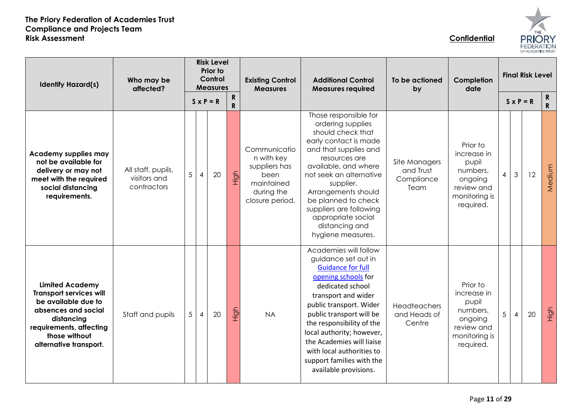

| <b>Identify Hazard(s)</b>                                                                                                                                                                  | Who may be<br>affected?                           |   |                  | <b>Risk Level</b><br>Prior to<br>Control<br><b>Measures</b> |                           | <b>Existing Control</b><br><b>Measures</b>                                                         | <b>Additional Control</b><br><b>Measures required</b>                                                                                                                                                                                                                                                                                                                       | To be actioned<br>by                             | Completion<br>date                                                                                  | <b>Final Risk Level</b> |                  |    |                    |
|--------------------------------------------------------------------------------------------------------------------------------------------------------------------------------------------|---------------------------------------------------|---|------------------|-------------------------------------------------------------|---------------------------|----------------------------------------------------------------------------------------------------|-----------------------------------------------------------------------------------------------------------------------------------------------------------------------------------------------------------------------------------------------------------------------------------------------------------------------------------------------------------------------------|--------------------------------------------------|-----------------------------------------------------------------------------------------------------|-------------------------|------------------|----|--------------------|
|                                                                                                                                                                                            |                                                   |   | $S \times P = R$ |                                                             | ${\bf R}$<br>$\mathsf{R}$ |                                                                                                    |                                                                                                                                                                                                                                                                                                                                                                             |                                                  |                                                                                                     |                         | $S \times P = R$ |    | R.<br>$\mathsf{R}$ |
| <b>Academy supplies may</b><br>not be available for<br>delivery or may not<br>meet with the required<br>social distancing<br>requirements.                                                 | All staff, pupils,<br>visitors and<br>contractors | 5 | 4                | 20                                                          | High                      | Communicatio<br>n with key<br>suppliers has<br>been<br>maintained<br>during the<br>closure period. | Those responsible for<br>ordering supplies<br>should check that<br>early contact is made<br>and that supplies and<br>resources are<br>available, and where<br>not seek an alternative<br>supplier.<br>Arrangements should<br>be planned to check<br>suppliers are following<br>appropriate social<br>distancing and<br>hygiene measures.                                    | Site Managers<br>and Trust<br>Compliance<br>Team | Prior to<br>increase in<br>pupil<br>numbers,<br>ongoing<br>review and<br>monitoring is<br>required. | 4                       | $\mathfrak{Z}$   | 12 | Medium             |
| <b>Limited Academy</b><br><b>Transport services will</b><br>be available due to<br>absences and social<br>distancing<br>requirements, affecting<br>those without<br>alternative transport. | Staff and pupils                                  | 5 | 4                | 20                                                          | High                      | <b>NA</b>                                                                                          | Academies will follow<br>guidance set out in<br><b>Guidance for full</b><br>opening schools for<br>dedicated school<br>transport and wider<br>public transport. Wider<br>public transport will be<br>the responsibility of the<br>local authority; however,<br>the Academies will liaise<br>with local authorities to<br>support families with the<br>available provisions. | <b>Headteachers</b><br>and Heads of<br>Centre    | Prior to<br>increase in<br>pupil<br>numbers,<br>ongoing<br>review and<br>monitoring is<br>required. | 5                       | $\overline{4}$   | 20 | High               |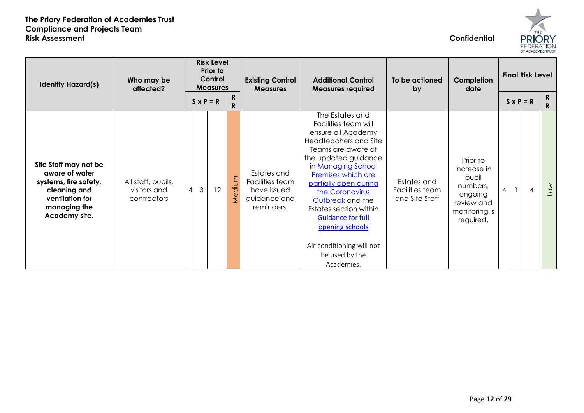



| <b>Identify Hazard(s)</b>                                                                                                            | <b>Risk Level</b><br>Prior to<br>Control<br>Who may be<br><b>Measures</b><br>affected?<br>${\bf R}$<br>$S \times P = R$ |   |         |  | <b>Existing Control</b><br><b>Measures</b> | <b>Additional Control</b><br><b>Measures required</b>                       | To be actioned<br>by                                                                                                                                                                                                                                                                                                                                                                   | Completion<br>date                               | <b>Final Risk Level</b>                                                                             |                          |  |                |                  |
|--------------------------------------------------------------------------------------------------------------------------------------|-------------------------------------------------------------------------------------------------------------------------|---|---------|--|--------------------------------------------|-----------------------------------------------------------------------------|----------------------------------------------------------------------------------------------------------------------------------------------------------------------------------------------------------------------------------------------------------------------------------------------------------------------------------------------------------------------------------------|--------------------------------------------------|-----------------------------------------------------------------------------------------------------|--------------------------|--|----------------|------------------|
|                                                                                                                                      |                                                                                                                         |   |         |  | $\mathsf{R}$                               |                                                                             |                                                                                                                                                                                                                                                                                                                                                                                        |                                                  |                                                                                                     | $S \times P = R$         |  |                | $\mathbf R$<br>R |
| Site Staff may not be<br>aware of water<br>systems, fire safety,<br>cleaning and<br>ventilation for<br>managing the<br>Academy site. | All staff, pupils,<br>visitors and<br>contractors                                                                       | 4 | 12<br>3 |  | Medium                                     | Estates and<br>Facilities team<br>have issued<br>guidance and<br>reminders. | The Estates and<br>Facilities team will<br>ensure all Academy<br>Headteachers and Site<br>Teams are aware of<br>the updated guidance<br>in Managing School<br>Premises which are<br>partially open during<br>the Coronavirus<br>Outbreak and the<br>Estates section within<br><b>Guidance for full</b><br>opening schools<br>Air conditioning will not<br>be used by the<br>Academies. | Estates and<br>Facilities team<br>and Site Staff | Prior to<br>increase in<br>pupil<br>numbers,<br>ongoing<br>review and<br>monitoring is<br>required. | $\overline{\mathcal{A}}$ |  | $\overline{4}$ | $\sim$           |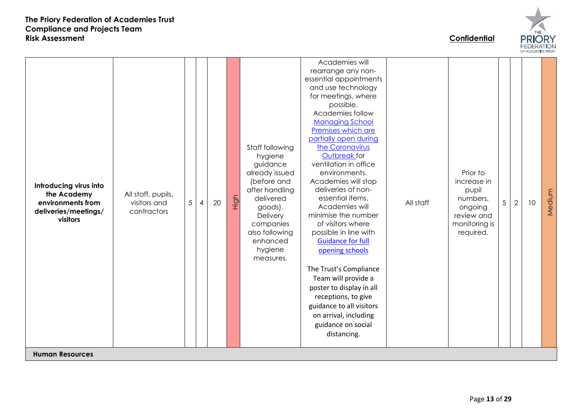

**Introducing virus into the Academy environments from deliveries/meetings/ visitors** All staff, pupils, visitors and contractors 5 4 20 High Staff following hygiene guidance already issued (before and after handling delivered goods). **Delivery** companies also following enhanced hygiene measures. Academies will rearrange any nonessential appointments and use technology for meetings, where possible. Academies follow [Managing School](https://www.gov.uk/government/publications/managing-school-premises-during-the-coronavirus-outbreak/managing-school-premises-which-are-partially-open-during-the-coronavirus-outbreak)  [Premises which are](https://www.gov.uk/government/publications/managing-school-premises-during-the-coronavirus-outbreak/managing-school-premises-which-are-partially-open-during-the-coronavirus-outbreak)  [partially open during](https://www.gov.uk/government/publications/managing-school-premises-during-the-coronavirus-outbreak/managing-school-premises-which-are-partially-open-during-the-coronavirus-outbreak)  [the Coronavirus](https://www.gov.uk/government/publications/managing-school-premises-during-the-coronavirus-outbreak/managing-school-premises-which-are-partially-open-during-the-coronavirus-outbreak)  [Outbreak](https://www.gov.uk/government/publications/managing-school-premises-during-the-coronavirus-outbreak/managing-school-premises-which-are-partially-open-during-the-coronavirus-outbreak) for ventilation in office environments. Academies will stop deliveries of nonessential items. Academies will minimise the number of visitors where possible in line with [Guidance for full](https://www.gov.uk/government/publications/actions-for-schools-during-the-coronavirus-outbreak/guidance-for-full-opening-schools)  [opening schools](https://www.gov.uk/government/publications/actions-for-schools-during-the-coronavirus-outbreak/guidance-for-full-opening-schools) The Trust's Compliance Team will provide a poster to display in all receptions, to give guidance to all visitors on arrival, including guidance on social distancing. All staff Prior to increase in pupil numbers, ongoing review and monitoring is required.  $5 | 2 | 10$ Medium **Human Resources**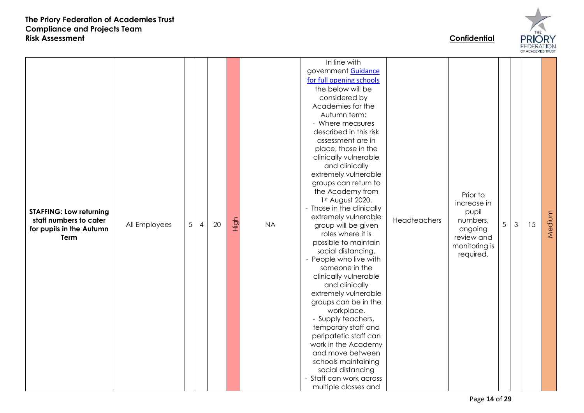

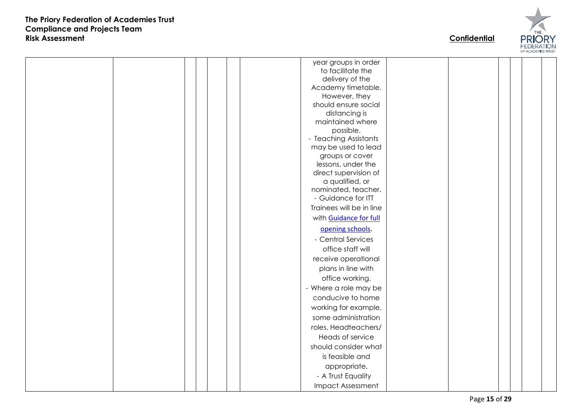

|  |  |  | year groups in order     |  |  |  |
|--|--|--|--------------------------|--|--|--|
|  |  |  | to facilitate the        |  |  |  |
|  |  |  | delivery of the          |  |  |  |
|  |  |  | Academy timetable.       |  |  |  |
|  |  |  | However, they            |  |  |  |
|  |  |  | should ensure social     |  |  |  |
|  |  |  | distancing is            |  |  |  |
|  |  |  | maintained where         |  |  |  |
|  |  |  | possible.                |  |  |  |
|  |  |  | - Teaching Assistants    |  |  |  |
|  |  |  | may be used to lead      |  |  |  |
|  |  |  | groups or cover          |  |  |  |
|  |  |  | lessons, under the       |  |  |  |
|  |  |  | direct supervision of    |  |  |  |
|  |  |  | a qualified, or          |  |  |  |
|  |  |  | nominated, teacher.      |  |  |  |
|  |  |  | - Guidance for ITT       |  |  |  |
|  |  |  | Trainees will be in line |  |  |  |
|  |  |  | with Guidance for full   |  |  |  |
|  |  |  | opening schools.         |  |  |  |
|  |  |  | - Central Services       |  |  |  |
|  |  |  | office staff will        |  |  |  |
|  |  |  | receive operational      |  |  |  |
|  |  |  | plans in line with       |  |  |  |
|  |  |  | office working.          |  |  |  |
|  |  |  | - Where a role may be    |  |  |  |
|  |  |  | conducive to home        |  |  |  |
|  |  |  | working for example,     |  |  |  |
|  |  |  | some administration      |  |  |  |
|  |  |  | roles, Headteachers/     |  |  |  |
|  |  |  | Heads of service         |  |  |  |
|  |  |  | should consider what     |  |  |  |
|  |  |  | is feasible and          |  |  |  |
|  |  |  | appropriate.             |  |  |  |
|  |  |  | - A Trust Equality       |  |  |  |
|  |  |  | <b>Impact Assessment</b> |  |  |  |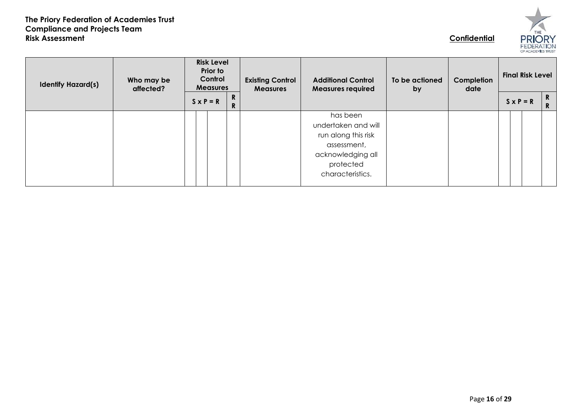

| <b>Identify Hazard(s)</b> | Who may be<br>affected? | <b>Risk Level</b><br>Prior to<br>Control<br><b>Measures</b> |                               | <b>Existing Control</b><br><b>Measures</b> | <b>Additional Control</b><br><b>Measures required</b>                                                   | To be actioned<br>by | Completion<br>date | <b>Final Risk Level</b> |  |          |  |
|---------------------------|-------------------------|-------------------------------------------------------------|-------------------------------|--------------------------------------------|---------------------------------------------------------------------------------------------------------|----------------------|--------------------|-------------------------|--|----------|--|
|                           |                         | $S \times P = R$                                            | R.<br>$\overline{\mathsf{R}}$ |                                            |                                                                                                         |                      |                    | $S \times P = R$        |  | R.<br>R. |  |
|                           |                         |                                                             |                               |                                            | has been<br>undertaken and will<br>run along this risk<br>assessment,<br>acknowledging all<br>protected |                      |                    |                         |  |          |  |
|                           |                         |                                                             |                               |                                            | characteristics.                                                                                        |                      |                    |                         |  |          |  |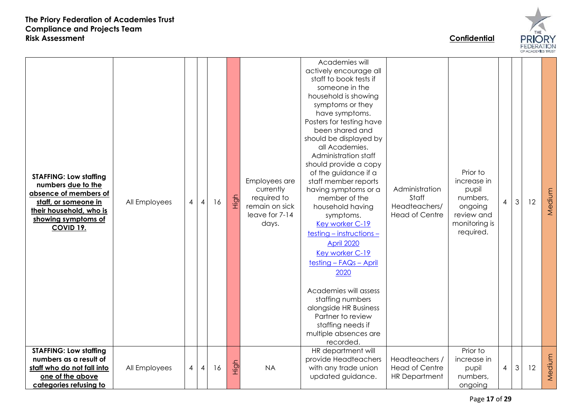

| <b>STAFFING: Low staffing</b><br>numbers due to the<br>absence of members of<br>staff, or someone in<br>their household, who is<br>showing symptoms of<br><b>COVID 19.</b> | All Employees | 4 | $\overline{A}$ | 16 | High | Employees are<br>currently<br>required to<br>remain on sick<br>leave for 7-14<br>days. | Academies will<br>actively encourage all<br>staff to book tests if<br>someone in the<br>household is showing<br>symptoms or they<br>have symptoms.<br>Posters for testing have<br>been shared and<br>should be displayed by<br>all Academies.<br>Administration staff<br>should provide a copy<br>of the guidance if a<br>staff member reports<br>having symptoms or a<br>member of the<br>household having<br>symptoms.<br>Key worker C-19<br>testing - instructions -<br><b>April 2020</b><br>Key worker C-19<br>testing - FAQs - April<br>2020<br>Academies will assess<br>staffing numbers<br>alongside HR Business<br>Partner to review<br>staffing needs if<br>multiple absences are<br>recorded. | Administration<br>Staff<br>Headteachers/<br><b>Head of Centre</b> | Prior to<br>increase in<br>pupil<br>numbers,<br>ongoing<br>review and<br>monitoring is<br>required. | $\overline{4}$ | 3 | 12 | Medium |
|----------------------------------------------------------------------------------------------------------------------------------------------------------------------------|---------------|---|----------------|----|------|----------------------------------------------------------------------------------------|---------------------------------------------------------------------------------------------------------------------------------------------------------------------------------------------------------------------------------------------------------------------------------------------------------------------------------------------------------------------------------------------------------------------------------------------------------------------------------------------------------------------------------------------------------------------------------------------------------------------------------------------------------------------------------------------------------|-------------------------------------------------------------------|-----------------------------------------------------------------------------------------------------|----------------|---|----|--------|
| <b>STAFFING: Low staffing</b><br>numbers as a result of<br>staff who do not fall into<br>one of the above<br>categories refusing to                                        | All Employees | 4 | $\overline{A}$ | 16 | High | <b>NA</b>                                                                              | HR department will<br>provide Headteachers<br>with any trade union<br>updated guidance.                                                                                                                                                                                                                                                                                                                                                                                                                                                                                                                                                                                                                 | Headteachers /<br><b>Head of Centre</b><br><b>HR Department</b>   | Prior to<br>increase in<br>pupil<br>numbers,<br>ongoing                                             | 4              | 3 | 12 | Medium |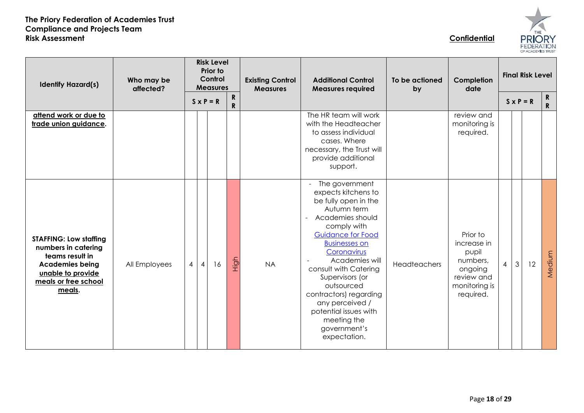| F<br>₹<br><b>FEDERATION</b> |  |
|-----------------------------|--|

| <b>Identify Hazard(s)</b>                                                                                                                                | Who may be<br>affected? |                | <b>Risk Level</b><br><b>Prior to</b><br>Control<br><b>Measures</b> |                  |                              |           |                                                                                                                                                                                                                                                                                                                                                                                                 | <b>Existing Control</b><br><b>Measures</b> | <b>Additional Control</b><br><b>Measures required</b>                                               | To be actioned<br>by | Completion<br>date |                  | <b>Final Risk Level</b> |  |  |
|----------------------------------------------------------------------------------------------------------------------------------------------------------|-------------------------|----------------|--------------------------------------------------------------------|------------------|------------------------------|-----------|-------------------------------------------------------------------------------------------------------------------------------------------------------------------------------------------------------------------------------------------------------------------------------------------------------------------------------------------------------------------------------------------------|--------------------------------------------|-----------------------------------------------------------------------------------------------------|----------------------|--------------------|------------------|-------------------------|--|--|
|                                                                                                                                                          |                         |                |                                                                    | $S \times P = R$ | $\mathsf{R}$<br>$\mathsf{R}$ |           |                                                                                                                                                                                                                                                                                                                                                                                                 |                                            |                                                                                                     |                      |                    | $S \times P = R$ | R<br>$\mathbf R$        |  |  |
| attend work or due to<br>trade union guidance.                                                                                                           |                         |                |                                                                    |                  |                              |           | The HR team will work<br>with the Headteacher<br>to assess individual<br>cases. Where<br>necessary, the Trust will<br>provide additional<br>support.                                                                                                                                                                                                                                            |                                            | review and<br>monitoring is<br>required.                                                            |                      |                    |                  |                         |  |  |
| <b>STAFFING: Low staffing</b><br>numbers in catering<br>teams result in<br><b>Academies being</b><br>unable to provide<br>meals or free school<br>meals. | All Employees           | $\overline{4}$ | $\overline{4}$                                                     | 16               | High                         | <b>NA</b> | The government<br>expects kitchens to<br>be fully open in the<br>Autumn term<br>Academies should<br>$\equiv$<br>comply with<br><b>Guidance for Food</b><br><b>Businesses on</b><br>Coronavirus<br>Academies will<br>consult with Catering<br>Supervisors (or<br>outsourced<br>contractors) regarding<br>any perceived /<br>potential issues with<br>meeting the<br>government's<br>expectation. | Headteachers                               | Prior to<br>increase in<br>pupil<br>numbers,<br>ongoing<br>review and<br>monitoring is<br>required. | $\overline{4}$       | $\mathfrak{S}$     | 12               | Medium                  |  |  |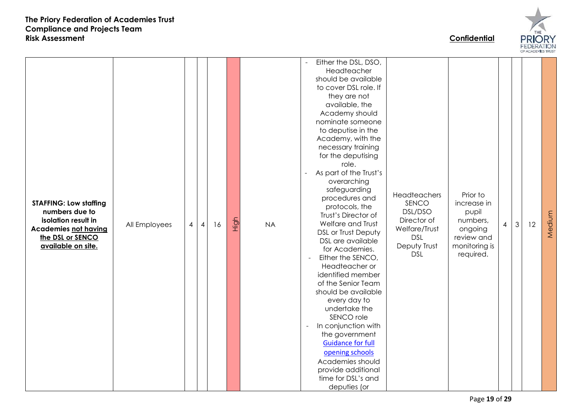

- Either the DSL, DSO, Headteacher should be available to cover DSL role. If they are not available, the Academy should nominate someone to deputise in the Academy, with the necessary training for the deputising role. - As part of the Trust's overarching safeguarding **Headteachers** Prior to procedures and **STAFFING: Low staffing SENCO** increase in protocols, the **numbers due to**  DSL/DSO pupil Trust's Director of Medium MediumHigh **isolation result in**  Director of numbers, Welfare and Trust  $3 \mid 12$ All Employees 4 4 16 NA 4 **Academies not having**  Welfare/Trust ongoing DSL or Trust Deputy **the DSL or SENCO**  DSL review and DSL are available **available on site.** Deputy Trust monitoring is for Academies. DSL required. - Either the SENCO, Headteacher or identified member of the Senior Team should be available every day to undertake the SENCO role - In conjunction with the government [Guidance for full](https://www.gov.uk/government/publications/actions-for-schools-during-the-coronavirus-outbreak/guidance-for-full-opening-schools)  [opening schools](https://www.gov.uk/government/publications/actions-for-schools-during-the-coronavirus-outbreak/guidance-for-full-opening-schools) Academies should provide additional time for DSL's and deputies (or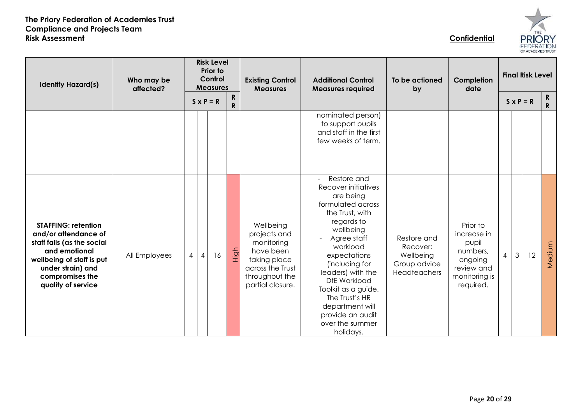| OF ACADEMIES TRUST |
|--------------------|

| <b>Identify Hazard(s)</b>                                                                                                                                                                    | Who may be<br>affected? | <b>Risk Level</b><br>Prior to<br>Control<br><b>Measures</b> |                |                  |                           | <b>Existing Control</b><br><b>Measures</b>                                                                                     | <b>Additional Control</b><br><b>Measures required</b>                                                                                                                                                                                                                                                                                | To be actioned<br>by                                                 | Completion<br>date                                                                                  | <b>Final Risk Level</b>  |                  |    |                              |
|----------------------------------------------------------------------------------------------------------------------------------------------------------------------------------------------|-------------------------|-------------------------------------------------------------|----------------|------------------|---------------------------|--------------------------------------------------------------------------------------------------------------------------------|--------------------------------------------------------------------------------------------------------------------------------------------------------------------------------------------------------------------------------------------------------------------------------------------------------------------------------------|----------------------------------------------------------------------|-----------------------------------------------------------------------------------------------------|--------------------------|------------------|----|------------------------------|
|                                                                                                                                                                                              |                         |                                                             |                | $S \times P = R$ | ${\bf R}$<br>$\mathbf{R}$ |                                                                                                                                |                                                                                                                                                                                                                                                                                                                                      |                                                                      |                                                                                                     |                          | $S \times P = R$ |    | $\mathsf{R}$<br>$\mathsf{R}$ |
|                                                                                                                                                                                              |                         |                                                             |                |                  |                           |                                                                                                                                | nominated person)<br>to support pupils<br>and staff in the first<br>few weeks of term.                                                                                                                                                                                                                                               |                                                                      |                                                                                                     |                          |                  |    |                              |
| <b>STAFFING: retention</b><br>and/or attendance of<br>staff falls (as the social<br>and emotional<br>wellbeing of staff is put<br>under strain) and<br>compromises the<br>quality of service | All Employees           | 4                                                           | $\overline{4}$ | 16               | High                      | Wellbeing<br>projects and<br>monitoring<br>have been<br>taking place<br>across the Trust<br>throughout the<br>partial closure. | Restore and<br>Recover initiatives<br>are being<br>formulated across<br>the Trust, with<br>regards to<br>wellbeing<br>Agree staff<br>workload<br>expectations<br>(including for<br>leaders) with the<br>DfE Workload<br>Toolkit as a guide.<br>The Trust's HR<br>department will<br>provide an audit<br>over the summer<br>holidays. | Restore and<br>Recover:<br>Wellbeing<br>Group advice<br>Headteachers | Prior to<br>increase in<br>pupil<br>numbers,<br>ongoing<br>review and<br>monitoring is<br>required. | $\overline{\mathcal{A}}$ | 3                | 12 | Medium                       |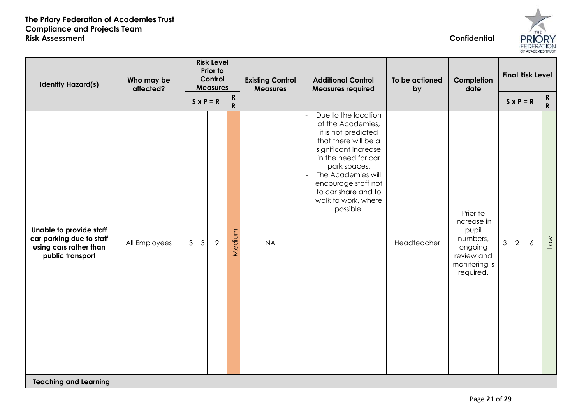

| Who may be<br><b>Identify Hazard(s)</b><br>affected?                                              |               |                | <b>Risk Level</b><br>Prior to<br>Control<br><b>Measures</b> |            | <b>Existing Control</b><br><b>Measures</b> | <b>Additional Control</b><br><b>Measures required</b>                                                                                                                                                                                                                                        | To be actioned<br>by | Completion<br>date                                                                                  | <b>Final Risk Level</b> |                |                  |                            |
|---------------------------------------------------------------------------------------------------|---------------|----------------|-------------------------------------------------------------|------------|--------------------------------------------|----------------------------------------------------------------------------------------------------------------------------------------------------------------------------------------------------------------------------------------------------------------------------------------------|----------------------|-----------------------------------------------------------------------------------------------------|-------------------------|----------------|------------------|----------------------------|
|                                                                                                   |               |                | $S \times P = R$                                            | $R$<br>$R$ |                                            |                                                                                                                                                                                                                                                                                              |                      |                                                                                                     |                         |                | $S \times P = R$ | $\mathbf R$<br>$\mathbf R$ |
| Unable to provide staff<br>car parking due to staff<br>using cars rather than<br>public transport | All Employees | $\mathfrak{S}$ | $\mathfrak{Z}$<br>$\overline{9}$                            | Medium     | <b>NA</b>                                  | Due to the location<br>$\equiv$<br>of the Academies,<br>it is not predicted<br>that there will be a<br>significant increase<br>in the need for car<br>park spaces.<br>The Academies will<br>$\blacksquare$<br>encourage staff not<br>to car share and to<br>walk to work, where<br>possible. | Headteacher          | Prior to<br>increase in<br>pupil<br>numbers,<br>ongoing<br>review and<br>monitoring is<br>required. | $\mathfrak{S}$          | $\overline{2}$ | $\ddot{\delta}$  | Low                        |
| <b>Teaching and Learning</b>                                                                      |               |                |                                                             |            |                                            |                                                                                                                                                                                                                                                                                              |                      |                                                                                                     |                         |                |                  |                            |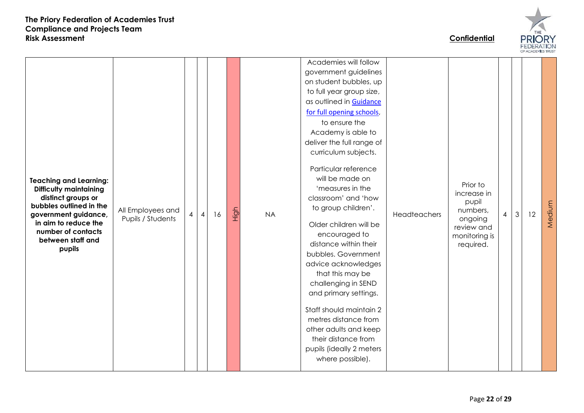

Academies will follow government guidelines on student bubbles, up to full year group size, as outlined in [Guidance](https://www.gov.uk/government/publications/actions-for-schools-during-the-coronavirus-outbreak/guidance-for-full-opening-schools)  [for full opening schools](https://www.gov.uk/government/publications/actions-for-schools-during-the-coronavirus-outbreak/guidance-for-full-opening-schools), to ensure the Academy is able to deliver the full range of curriculum subjects. Particular reference will be made on **Teaching and Learning:**  Prior to **Difficulty maintaining**  'measures in the increase in **distinct groups or**  classroom' and 'how pupil Medium **bubbles outlined in the**  Mediumto group children'. All Employees and High numbers,  $4 \mid 3 \mid 12$ **government guidance,**   $\frac{2}{\pi}$  Pupils / Students  $\left| \begin{array}{c} 4 & 4 \end{array} \right|$  16 NA Headteachers ongoing **in aim to reduce the**  Older children will be review and **number of contacts**  encouraged to monitoring is **between staff and**  distance within their required. **pupils** bubbles. Government advice acknowledges that this may be challenging in SEND and primary settings. Staff should maintain 2 metres distance from other adults and keep their distance from pupils (ideally 2 meters where possible).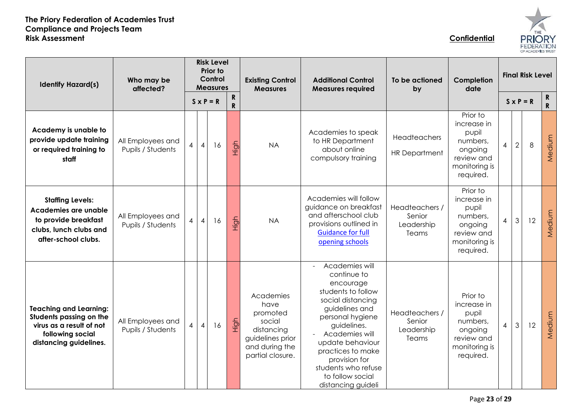

| <b>Identify Hazard(s)</b>                                                                                                          | Who may be<br>affected?                |                |                | <b>Risk Level</b><br>Prior to<br>Control<br><b>Measures</b> |                           | <b>Existing Control</b><br><b>Measures</b>                                                                      | <b>Additional Control</b><br><b>Measures required</b>                                                                                                                                                                                                                                                     | To be actioned<br>by                            | Completion<br>date                                                                                  | <b>Final Risk Level</b>  |                  |    |                            |
|------------------------------------------------------------------------------------------------------------------------------------|----------------------------------------|----------------|----------------|-------------------------------------------------------------|---------------------------|-----------------------------------------------------------------------------------------------------------------|-----------------------------------------------------------------------------------------------------------------------------------------------------------------------------------------------------------------------------------------------------------------------------------------------------------|-------------------------------------------------|-----------------------------------------------------------------------------------------------------|--------------------------|------------------|----|----------------------------|
|                                                                                                                                    |                                        |                |                | $S \times P = R$                                            | ${\bf R}$<br>$\mathsf{R}$ |                                                                                                                 |                                                                                                                                                                                                                                                                                                           |                                                 |                                                                                                     |                          | $S \times P = R$ |    | $\mathbf R$<br>$\mathbf R$ |
| Academy is unable to<br>provide update training<br>or required training to<br>staff                                                | All Employees and<br>Pupils / Students | $\overline{4}$ | $\overline{4}$ | 16                                                          | High                      | <b>NA</b>                                                                                                       | Academies to speak<br>to HR Department<br>about online<br>compulsory training                                                                                                                                                                                                                             | Headteachers<br><b>HR Department</b>            | Prior to<br>increase in<br>pupil<br>numbers,<br>ongoing<br>review and<br>monitoring is<br>required. | $\overline{\mathcal{A}}$ | $\sqrt{2}$       | 8  | Medium                     |
| <b>Staffing Levels:</b><br>Academies are unable<br>to provide breakfast<br>clubs, lunch clubs and<br>after-school clubs.           | All Employees and<br>Pupils / Students | 4              | $\overline{4}$ | 16                                                          | High                      | <b>NA</b>                                                                                                       | Academies will follow<br>guidance on breakfast<br>and afterschool club<br>provisions outlined in<br><b>Guidance for full</b><br>opening schools                                                                                                                                                           | Headteachers /<br>Senior<br>Leadership<br>Teams | Prior to<br>increase in<br>pupil<br>numbers,<br>ongoing<br>review and<br>monitoring is<br>required. | $\overline{4}$           | $\mathfrak{Z}$   | 12 | Medium                     |
| <b>Teaching and Learning:</b><br>Students passing on the<br>virus as a result of not<br>following social<br>distancing guidelines. | All Employees and<br>Pupils / Students | 4              | $\overline{4}$ | 16                                                          | High                      | Academies<br>have<br>promoted<br>social<br>distancing<br>guidelines prior<br>and during the<br>partial closure. | Academies will<br>$\blacksquare$<br>continue to<br>encourage<br>students to follow<br>social distancing<br>guidelines and<br>personal hygiene<br>guidelines.<br>Academies will<br>update behaviour<br>practices to make<br>provision for<br>students who refuse<br>to follow social<br>distancing guideli | Headteachers /<br>Senior<br>Leadership<br>Teams | Prior to<br>increase in<br>pupil<br>numbers,<br>ongoing<br>review and<br>monitoring is<br>required. | $\overline{4}$           | $\mathfrak{Z}$   | 12 | Medium                     |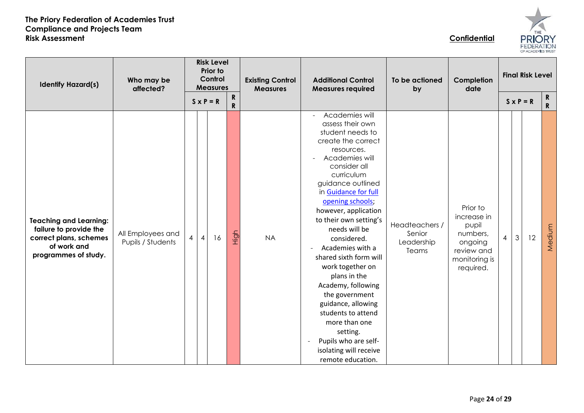

| <b>Identify Hazard(s)</b>                                                                                                | Who may be<br>affected?                |                |                  | <b>Risk Level</b><br>Prior to<br>Control<br><b>Measures</b> |                           | <b>Existing Control</b><br><b>Measures</b> | <b>Additional Control</b><br><b>Measures required</b>                                                                                                                                                                                                                                                                                                                                                                                                                                                                                                                                                                           | To be actioned<br>by                            | Completion<br>date                                                                                  |                |   | <b>Final Risk Level</b> |                   |
|--------------------------------------------------------------------------------------------------------------------------|----------------------------------------|----------------|------------------|-------------------------------------------------------------|---------------------------|--------------------------------------------|---------------------------------------------------------------------------------------------------------------------------------------------------------------------------------------------------------------------------------------------------------------------------------------------------------------------------------------------------------------------------------------------------------------------------------------------------------------------------------------------------------------------------------------------------------------------------------------------------------------------------------|-------------------------------------------------|-----------------------------------------------------------------------------------------------------|----------------|---|-------------------------|-------------------|
|                                                                                                                          |                                        |                | $S \times P = R$ |                                                             | ${\bf R}$<br>$\mathsf{R}$ |                                            |                                                                                                                                                                                                                                                                                                                                                                                                                                                                                                                                                                                                                                 |                                                 |                                                                                                     |                |   | $S \times P = R$        | R<br>$\mathbf{R}$ |
| <b>Teaching and Learning:</b><br>failure to provide the<br>correct plans, schemes<br>of work and<br>programmes of study. | All Employees and<br>Pupils / Students | $\overline{4}$ | $\overline{4}$   | 16                                                          | High                      | <b>NA</b>                                  | Academies will<br>$\overline{\phantom{a}}$<br>assess their own<br>student needs to<br>create the correct<br>resources.<br>Academies will<br>$\blacksquare$<br>consider all<br>curriculum<br>guidance outlined<br>in Guidance for full<br>opening schools;<br>however, application<br>to their own setting's<br>needs will be<br>considered.<br>Academies with a<br>shared sixth form will<br>work together on<br>plans in the<br>Academy, following<br>the government<br>guidance, allowing<br>students to attend<br>more than one<br>setting.<br>Pupils who are self-<br>$\sim$<br>isolating will receive<br>remote education. | Headteachers /<br>Senior<br>Leadership<br>Teams | Prior to<br>increase in<br>pupil<br>numbers,<br>ongoing<br>review and<br>monitoring is<br>required. | $\overline{4}$ | 3 | 12                      | Medium            |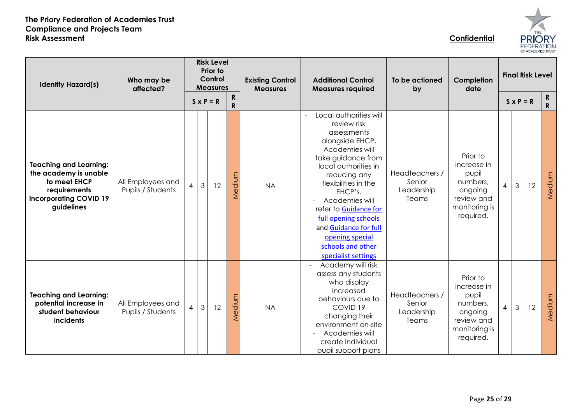

| <b>Identify Hazard(s)</b>                                                                                                      | Who may be<br>affected?                | <b>Risk Level</b><br>Prior to<br>Control<br><b>Measures</b><br>${\bf R}$<br>$S \times P = R$ |                |    |        | <b>Existing Control</b><br><b>Measures</b> | <b>Additional Control</b><br><b>Measures required</b>                                                                                                                                                                                                                                                                       | To be actioned<br>by                            | Completion<br>date                                                                                  |                | <b>Final Risk Level</b><br>$\mathbf{R}$ |    |              |
|--------------------------------------------------------------------------------------------------------------------------------|----------------------------------------|----------------------------------------------------------------------------------------------|----------------|----|--------|--------------------------------------------|-----------------------------------------------------------------------------------------------------------------------------------------------------------------------------------------------------------------------------------------------------------------------------------------------------------------------------|-------------------------------------------------|-----------------------------------------------------------------------------------------------------|----------------|-----------------------------------------|----|--------------|
|                                                                                                                                |                                        |                                                                                              |                |    | R      |                                            | Local authorities will                                                                                                                                                                                                                                                                                                      |                                                 |                                                                                                     |                | $S \times P = R$                        |    | $\mathbf{R}$ |
| <b>Teaching and Learning:</b><br>the academy is unable<br>to meet EHCP<br>requirements<br>incorporating COVID 19<br>guidelines | All Employees and<br>Pupils / Students | $\overline{4}$                                                                               | $\mathfrak{Z}$ | 12 | Medium | <b>NA</b>                                  | review risk<br>assessments<br>alongside EHCP,<br>Academies will<br>take guidance from<br>local authorities in<br>reducing any<br>flexibilities in the<br>EHCP's.<br>Academies will<br>refer to Guidance for<br>full opening schools<br>and Guidance for full<br>opening special<br>schools and other<br>specialist settings | Headteachers /<br>Senior<br>Leadership<br>Teams | Prior to<br>increase in<br>pupil<br>numbers,<br>ongoing<br>review and<br>monitoring is<br>required. | $\overline{4}$ | $\mathfrak{Z}$                          | 12 | Medium       |
| <b>Teaching and Learning:</b><br>potential increase in<br>student behaviour<br>incidents                                       | All Employees and<br>Pupils / Students | $\overline{4}$                                                                               | $\mathfrak{Z}$ | 12 | Medium | <b>NA</b>                                  | Academy will risk<br>assess any students<br>who display<br>increased<br>behaviours due to<br>COVID <sub>19</sub><br>changing their<br>environment on-site<br>Academies will<br>create individual<br>pupil support plans                                                                                                     | Headteachers /<br>Senior<br>Leadership<br>Teams | Prior to<br>increase in<br>pupil<br>numbers,<br>ongoing<br>review and<br>monitoring is<br>required. | $\overline{4}$ | 3                                       | 12 | Medium       |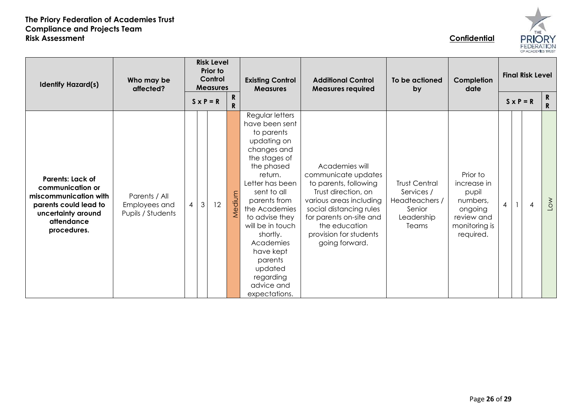

| <b>Identify Hazard(s)</b>                                                                                                                        | Who may be<br>affected?                             | <b>Risk Level</b><br>Prior to<br>Control<br><b>Measures</b><br>$\mathsf{R}$<br>$S \times P = R$<br>R |                      |        | <b>Existing Control</b><br><b>Measures</b>                                                                                                                                                                                                                                                                                               | <b>Additional Control</b><br><b>Measures required</b>                                                                                                                                                                               | To be actioned<br>by                                                                  | Completion<br>date                                                                                  | <b>Final Risk Level</b><br>$S \times P = R$ |  |                | R.<br>R.   |
|--------------------------------------------------------------------------------------------------------------------------------------------------|-----------------------------------------------------|------------------------------------------------------------------------------------------------------|----------------------|--------|------------------------------------------------------------------------------------------------------------------------------------------------------------------------------------------------------------------------------------------------------------------------------------------------------------------------------------------|-------------------------------------------------------------------------------------------------------------------------------------------------------------------------------------------------------------------------------------|---------------------------------------------------------------------------------------|-----------------------------------------------------------------------------------------------------|---------------------------------------------|--|----------------|------------|
| <b>Parents: Lack of</b><br>communication or<br>miscommunication with<br>parents could lead to<br>uncertainty around<br>attendance<br>procedures. | Parents / All<br>Employees and<br>Pupils / Students | $\overline{4}$                                                                                       | $\mathfrak{Z}$<br>12 | Medium | Regular letters<br>have been sent<br>to parents<br>updating on<br>changes and<br>the stages of<br>the phased<br>return.<br>Letter has been<br>sent to all<br>parents from<br>the Academies<br>to advise they<br>will be in touch<br>shortly.<br>Academies<br>have kept<br>parents<br>updated<br>regarding<br>advice and<br>expectations. | Academies will<br>communicate updates<br>to parents, following<br>Trust direction, on<br>various areas including<br>social distancing rules<br>for parents on-site and<br>the education<br>provision for students<br>going forward. | <b>Trust Central</b><br>Services /<br>Headteachers /<br>Senior<br>Leadership<br>Teams | Prior to<br>increase in<br>pupil<br>numbers,<br>ongoing<br>review and<br>monitoring is<br>required. | $\overline{4}$                              |  | $\overline{4}$ | <b>NOT</b> |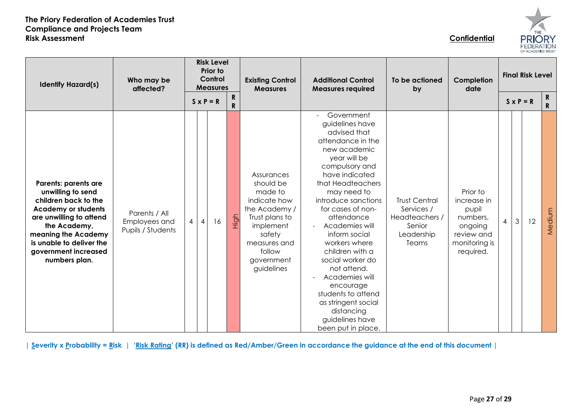

| <b>Identify Hazard(s)</b>                                                                                                                                                                                                              | Who may be<br>affected?                             | <b>Risk Level</b><br>Prior to<br>Control<br><b>Measures</b><br>R<br>$S \times P = R$<br>R |    |        | <b>Existing Control</b><br><b>Measures</b>                                                                                                                         | <b>Additional Control</b><br><b>Measures required</b>                                                                                                                                                                                                                                                                                                                                                                                                                                       | To be actioned<br>Completion<br>date<br>by                                            |                                                                                                     | <b>Final Risk Level</b><br>$S \times P = R$ |                |    | $\mathbf R$<br>$\mathsf{R}$ |
|----------------------------------------------------------------------------------------------------------------------------------------------------------------------------------------------------------------------------------------|-----------------------------------------------------|-------------------------------------------------------------------------------------------|----|--------|--------------------------------------------------------------------------------------------------------------------------------------------------------------------|---------------------------------------------------------------------------------------------------------------------------------------------------------------------------------------------------------------------------------------------------------------------------------------------------------------------------------------------------------------------------------------------------------------------------------------------------------------------------------------------|---------------------------------------------------------------------------------------|-----------------------------------------------------------------------------------------------------|---------------------------------------------|----------------|----|-----------------------------|
| Parents: parents are<br>unwilling to send<br>children back to the<br><b>Academy or students</b><br>are unwilling to attend<br>the Academy,<br>meaning the Academy<br>is unable to deliver the<br>government increased<br>numbers plan. | Parents / All<br>Employees and<br>Pupils / Students | $\vert$ 4<br>$\overline{4}$                                                               | 16 | 스<br>도 | Assurances<br>should be<br>made to<br>indicate how<br>the Academy /<br>Trust plans to<br>implement<br>safety<br>measures and<br>follow<br>government<br>guidelines | Government<br>guidelines have<br>advised that<br>attendance in the<br>new academic<br>year will be<br>compulsory and<br>have indicated<br>that Headteachers<br>may need to<br>introduce sanctions<br>for cases of non-<br>attendance<br>Academies will<br>inform social<br>workers where<br>children with a<br>social worker do<br>not attend.<br>Academies will<br>$\sim$<br>encourage<br>students to attend<br>as stringent social<br>distancing<br>guidelines have<br>been put in place. | <b>Trust Central</b><br>Services /<br>Headteachers /<br>Senior<br>Leadership<br>Teams | Prior to<br>increase in<br>pupil<br>numbers.<br>ongoing<br>review and<br>monitoring is<br>required. | $\overline{4}$                              | $\mathfrak{Z}$ | 12 | Medium                      |

**| Severity x Probability = Risk | 'Risk Rating' (RR) is defined as Red/Amber/Green in accordance the guidance at the end of this document |**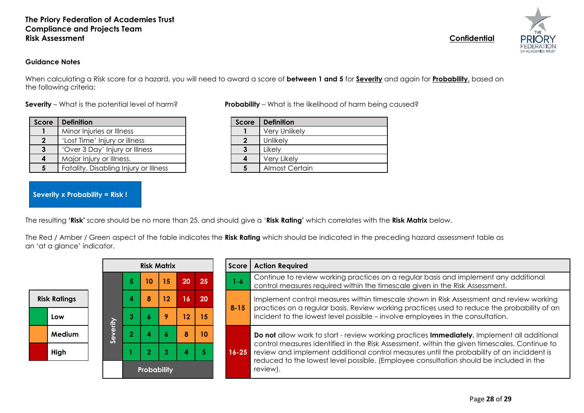#### **Guidance Notes**

When calculating a Risk score for a hazard, you will need to award a score of **between 1 and 5** for **Severity** and again for **Probability**, based on the following criteria:

| Score          | <b>Definition</b>                     | Score | <b>Definition</b>     |
|----------------|---------------------------------------|-------|-----------------------|
|                | Minor Injuries or Illness             |       | <b>Very Unlikely</b>  |
| $\overline{2}$ | 'Lost Time' Injury or illness         |       | Unlikely              |
| $\mathbf{3}$   | 'Over 3 Day' Injury or Illness        |       | Likely                |
| 4              | Major Injury or Illness.              |       | Very Likely           |
|                | Fatality, Disabling Injury or Illness |       | <b>Almost Certain</b> |

**Severity x Probability = Risk !**

**Severity** – What is the potential level of harm? **Probability** – What is the likelihood of harm being caused?

| <b>Score</b> | <b>Definition</b> |
|--------------|-------------------|
|              | Very Unlikely     |
| 2            | Unlikely          |
| 3            | Likely            |
|              | Very Likely       |
| 5            | Almost Certain    |
|              |                   |

The resulting **'Risk'** score should be no more than 25, and should give a '**Risk Rating'** which correlates with the **Risk Matrix** below.

The Red / Amber / Green aspect of the table indicates the **Risk Rating** which should be indicated in the preceding hazard assessment table as an 'at a glance' indicator.

|                     |                                              |             | <b>Risk Matrix</b> |                                                                                             |    |    |    |    | Score                                                                                              | <b>Action Required</b>                                                                                                                                                                    |  |  |  |
|---------------------|----------------------------------------------|-------------|--------------------|---------------------------------------------------------------------------------------------|----|----|----|----|----------------------------------------------------------------------------------------------------|-------------------------------------------------------------------------------------------------------------------------------------------------------------------------------------------|--|--|--|
|                     |                                              |             |                    | 5                                                                                           | 10 | 15 | 20 | 25 | $1 - 6$                                                                                            | Continue to review working practices on a regular basis and implement any additional<br>control measures required within the timescale given in the Risk Assessment.                      |  |  |  |
| <b>Risk Ratings</b> |                                              |             |                    | 4                                                                                           | 8  | 12 | 16 | 20 |                                                                                                    | Implement control measures within timescale shown in Risk Assessment and review working<br>practices on a regular basis. Review working practices used to reduce the probability of an    |  |  |  |
|                     | Low                                          |             | <b>Aire</b>        |                                                                                             |    | 9  | 12 | 15 | $8 - 15$                                                                                           | incident to the lowest level possible – involve employees in the consultation.                                                                                                            |  |  |  |
|                     | 10<br>8<br><b>Medium</b><br>မ္တ<br>3<br>High |             |                    | Do not allow work to start - review working practices Immediately. Implement all additional |    |    |    |    |                                                                                                    |                                                                                                                                                                                           |  |  |  |
|                     |                                              |             |                    |                                                                                             |    |    |    |    | $16 - 25$                                                                                          | control measures identified in the Risk Assessment, within the given timescales. Continue to<br>review and implement additional control measures until the probability of an inciddent is |  |  |  |
|                     |                                              | Probability |                    |                                                                                             |    |    |    |    | reduced to the lowest level possible. (Employee consultation should be included in the<br>review). |                                                                                                                                                                                           |  |  |  |